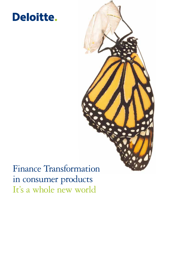# Deloitte.



## Finance Transformation in consumer products It's a whole new world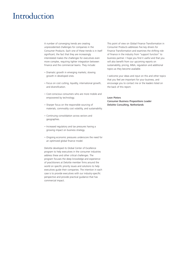### Introduction

A number of converging trends are creating unprecedented challenges for companies in the Consumer Products. Each one of these trends is in itself significant; the fact that they are increasingly interrelated makes the challenges for executives even more complex, requiring tighter integration between Finance and the commercial teams. They include:

- Dramatic growth in emerging markets; slowing growth in developed ones.
- Focus on cost cutting, liquidity, international growth, and diversification.
- Cost-conscious consumers who are more mobile and empowered by technology.
- Sharper focus on the responsible sourcing of materials, commodity cost volatility, and sustainability.
- Continuing consolidation across sectors and geographies.
- Increased regulatory and tax pressures having a growing impact on business strategy.
- Ongoing economic pressures underscore the need for an optimized global finance model.

Deloitte developed its Global Center of Excellence program to help executives in the consumer industries address these and other critical challenges. The program focuses the deep knowledge and experience of practitioners at Deloitte member firms around the world on specific priority issues and solutions to help executives guide their companies. The intention in each case is to provide executives with our industry-specific perspective and provide practical guidance that has commercial impact.

This point of view on Global Finance Transformation in Consumer Products addresses five key drivers for Finance Transformation and examines the shifting role of finance in the industry from "support function" to business partner. I hope you find it useful and that you will also benefit from our upcoming reports on sustainability, pricing, M&A, regulation and additional topics as they become available.

I welcome your ideas and input on this and other topics that you feel are important for your business, and encourage you to contact me or the leaders listed on the back of this report.

#### Leon Pieters Consumer Business Propositions Leader Deloitte Consulting, Netherlands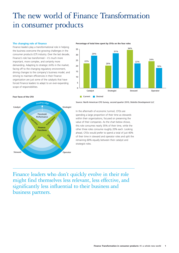## The new world of Finance Transformation in consumer products

#### **The changing role of finance**

Finance leaders play a transformational role in helping the business overcome the growing challenges in the consumer products (CP) industry. Over the last decade, Finance's role has transformed – it's much more important, more complex, and certainly more demanding. Adapting to strategic shifts in the market, facing off to the changing regulatory environment, driving changes to the company's business model, and striving to maintain efficiencies in their Finance organization are just some of the catalysts that have forced Finance leaders to adapt to an ever-expanding scope of responsibilities.

#### **Four faces of the CFO**



**Percentage of total time spent by CFOs on the four roles**



Source: North American CFO Survey, second quarter 2010, Deloitte Development LLC

In the aftermath of economic turmoil, CFOs are spending a large proportion of their time as stewards within their organizations, focused on preserving the value of their companies. As the chart below shows, this role consumes nearly 35% of their time, while the other three roles consume roughly 20% each. Looking ahead, CFOs would prefer to spend a total of just 40% of their time in steward and operator roles and split the remaining 60% equally between their catalyst and strategist roles.

Finance leaders who don't quickly evolve in their role might find themselves less relevant, less effective, and significantly less influential to their business and business partners.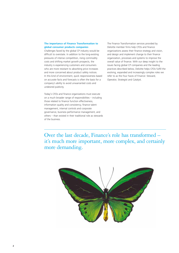#### **The importance of Finance Transformation to global consumer products companies**

Challenges faced by the global CP industry would be difficult to overstate. In addition to the long-existing pressures of intense competition, rising commodity costs and shifting market growth prospects, the industry is experiencing customers and consumers who are more resistant to absorbing price increases and more concerned about product safety notices. In this kind of environment, quick responsiveness based on accurate facts and forecasts is often the basis for a company's ability to avoid unwarranted costs and undesired publicity.

Today's CFOs and finance organizations must execute on a much broader range of responsibilities – including those related to finance function effectiveness, information quality and consistency, finance talent management, internal controls and corporate governance, business performance management, and others – than existed in their traditional role as stewards of the business.

The Finance Transformation services provided by Deloitte member firms help CFOs and finance organizations assess their finance strategy and vision, and design and implement change to their finance organization, processes and systems to improve the overall value of finance. With our deep insight to the issues facing global CP companies and the leading practices described below, Deloitte helps CFOs fulfill the evolving, expanded and increasingly complex roles we refer to as the Four Faces of Finance: Steward, Operator, Strategist and Catalyst.

Over the last decade, Finance's role has transformed – it's much more important, more complex, and certainly more demanding.

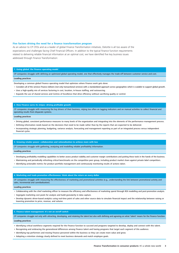#### **Five factors driving the need for a finance transformation program**

As an advisor to CP CFOs and as a leader of global Finance Transformation initiatives, Deloitte is all too aware of the expectations and challenges facing Chief Financial Officers. In addition to the typical finance function requirements related to delivering reliable financial information at an optimal cost, we have identified five key business issues addressed through Finance Transformation:

#### **1. Going global: the Finance operating model**

CP companies struggle with defining an optimized global operating model, one that effectively manages the trade-off between customer service and cost. **Leading practices**

- Developing a common global Finance operating model that optimizes where Finance work gets done:
- Considers all of the services Finance delivers (not only transactional services) with a standardized approach across geographies which is scalable to support global growth.
- Uses a high-quality mix of services factoring in cost, location, in-house staffing, and outsourcing.
- Expands the use of shared services and Centres of Excellence that drive efficiency without sacrificing quality or control.

#### **2. How Finance earns its stripes: driving profitable growth**

CP companies struggle with measuring the key drivers of their business, relying too often on lagging indicators and on manual activities to collect financial and operating results from disparate systems.

#### **Leading practices**

- Driving global, consistent performance measures to many levels of the organization and integrating into the elements of the performance management process.
- Defining information needs based on the decisions that need to be made rather than by the reports that are expected to be delivered.
- Incorporating strategic planning, budgeting, variance analysis, forecasting and management reporting as part of an integrated process versus independent financial cycles.

#### **3. Growing retailer power: collaboration and rationalization to achieve more with less**

CP companies struggle with gathering, analyzing and modelling reliable profitability information.

#### **Leading practices**

- Developing profitability modelling capabilities to better assess product viability and customer margin contributions and putting these tools in the hands of the business.
- Maintaining and periodically refreshing critical benchmarks on the competitive peer group, including product market share against private label competitors.
- Identifying actionable metrics for product portfolio management and continuously monitoring results of actions taken.

#### **4. Marketing and trade promotion effectiveness: think about the return on every dollar**

CP companies struggle with measuring the effectiveness of marketing and promotional activities (e.g., understanding the link between promotional activity and sales, incremental and cannibalization).

#### **Leading practices**

- Collaborating with the chief marketing officer to measure the efficiency and effectiveness of marketing spend through ROI modelling and post-promotion analysis.
- Segregate marketing cost pools for analysis and build granularity in data capture.
- Develop dynamic driver-based analytics using real-time point of sales and other source data to simulate financial impact and the relationship between raising or lowering promotion to price, revenue, and volume.

#### **5. Finance talent management: it's not an on/off switch**

CP companies struggle not only with attracting, developing, and retaining the talent but also with defining and agreeing on what 'talent' means for the Finance function.

#### **Leading practices**

- **•** Identifying critical workforce segments required for the Finance function to succeed and programs targeted to develop, deploy and connect with this talent.
- **•** Recognizing and embracing the generational differences among Finance talent and having programs that target each segment of this audience.
- **•** Identifying top performers and moving Finance personnel within the business so they can create more value and grow.
- **•** Adopting a retention strategy clearly defined to meet business demands and match employee goals.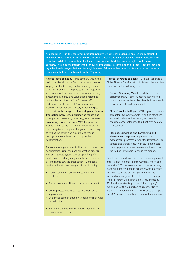#### **Finance Transformation case studies**

As a leader in FT in the consumer products industry, Deloitte has organized and led many global FT initiatives. These programs often consist of both strategic and tactical elements driving functional cost reductions while freeing up time for finance professionals to deliver more insights to its business partners. The solutions implemented for our clients address a combination of process, technology and organizational changes that lead to tangible value. Below are illustrations of two consumer products companies that have embarked on the FT journey.

A global food company  $-$  This company was in the midst of a Global Finance Transformation focused on simplifying, standardizing and harmonizing routine transactions and planning processes. Their objectives were to reduce total finance costs while reallocating investments into providing value-added insights to business leaders. Finance Transformation efforts underway cover five areas: FP&A, Transaction Processes, Audit, Tax and Treasury. Deloitte helped them address the design of standard, global Finance Transaction processes, including the month-end close process, statutory reporting, intercompany accounting, fixed assets and VAT. The project also included an assessment of how to better leverage financial systems to support the global process design, as well as the design and execution of change management considerations to support the transformation.

The company targeted specific Finance cost reductions by eliminating, simplifying and automating process activities; reduced system cost by optimizing SAP functionalities and migrating more finance work to existing shared services organizations. Significant qualitative benefits are being monitored including:

- Global, standard processes based on leading practices
- Further leverage of Financial systems investment
- Use of process metrics to sustain performance improvements
- Efficiencies gained through increasing levels of Audit centralization
- Reliable and timely financial information through one close submission

A global beverage company – Deloitte supported a Global Finance Transformation initiative to help achieve efficiencies in the following areas:

- Finance Operating Model each business unit performed many Finance functions, leaving little time to perform activities that directly drove growth; processes also lacked standardization.
- Close/Consolidate/Report (CCR) processes lacked accountability; overly complex reporting structures inhibited analysis and reporting; technologies enabling consolidated results did not provide data transparency.
- Planning, Budgeting and Forecasting and Management Reporting – performance management processes lacked standardization, clear targets, and transparency; high-touch, high-cost planning processes were time consuming and not focused on key drivers to win in the market.

Deloitte helped redesign the Finance operating model and establish Regional Finance Centers, simplify and streamline CCR processes and tools, connect strategic planning, budgeting, reporting and reward processes to drive accelerated business performance and standardize management reports across the enterprise. The FT program will deliver a direct P&L impact by 2012 and a substantial portion of the company's overall goal of US\$500 million of savings. Also this initiative will improve the ability of Finance to support the 2020 Vision of doubling the size of the company.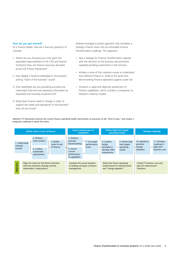#### **How do you get started?**

As a finance leader, here are a few key questions to consider:

- 1. Where are you focusing your time given the expanded responsibilities of the CFO and finance functions? How are finance resources allocated across the 4 faces framework?
- 2. How deeply is finance embedded in the business solving "heart of the business" issues?
- 3. How seamlessly are you providing accurate and meaningful financial and operating information as requested and routinely at period end?
- 4. What does finance need to change in order to support the needs and aspirations of the business? How do you know?

Deloitte leverages a proven approach that translates a strategic Finance vision into an actionable Finance Transformation roadmap. This approach:

- Sets a strategy for Finance Transformation aligned with the direction of the business and prioritizes capability-building investments in the function.
- Initiates a voice of the customer survey to understand how effective Finance is, while at the same time benchmarking Finance operations against a peer set.
- Conducts a rapid and objective assessment of Finance capabilities, which includes a comparison to Deloitte's maturity models.

Deloitte's FT framework assesses the current finance operating model, benchmarks its processes to the "best-in-class," and creates a pragmatic roadmap to attain the vision.

|                                       | Define vision & role of finance                                                                                       |                                                                                                 | <b>Assess performance &amp;</b><br>capabilities | <b>Define high level target</b><br>operating model                                      |                                                      |                                                                     | Develop roadmap                                         |
|---------------------------------------|-----------------------------------------------------------------------------------------------------------------------|-------------------------------------------------------------------------------------------------|-------------------------------------------------|-----------------------------------------------------------------------------------------|------------------------------------------------------|---------------------------------------------------------------------|---------------------------------------------------------|
| 1. Understand<br>strategic<br>context | 2. Perform<br>value analysis<br>4. Define<br>vision & role<br>of finance<br>3. Confirm<br>stakeholder<br>expectations | 5. Perform<br>External<br>Benchmarking<br>6. Assess<br>current<br>performance<br>& capabilities | 7. Set target<br>performance<br>levels          | 8. Confirm<br>design<br>$+$ principles &<br>develop TOM<br>components                   | 9. Define high<br>level target<br>operating<br>model | 10. Identify &<br>prioritise<br>$+$ change<br>initiatives           | 11. Develop<br>roadmap &<br>high level<br>business case |
| ctive<br>de                           | Align the vision for the finance function<br>with the enterprise strategy and the<br>stakeholder's expectations.      | Compare the actual situation<br>to leading concepts in finance<br>management.                   |                                                 | Define the future operating<br>model based on maturity levels<br>and "change appetite". |                                                      | Create FT business case and<br>plan for improvement<br>initiatives. |                                                         |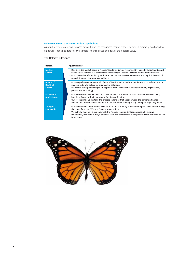### **Deloitte's Finance Transformation capabilities**

As a full-service professional services network and the recognized market leader, Deloitte is optimally positioned to empower Finance leaders to solve complex finance issues and deliver shareholder value.

#### The Deloitte Difference

| Reasons                                            | <b>Qualifications</b>                                                                                                                                                                                                                                                                                                                                                             |
|----------------------------------------------------|-----------------------------------------------------------------------------------------------------------------------------------------------------------------------------------------------------------------------------------------------------------------------------------------------------------------------------------------------------------------------------------|
| <b>Market</b><br><b>Leader</b>                     | • Deloitte is the market leader in Finance Transformation, as recognized by Kennedy Consulting Research.<br>• Over 65% of Fortune 500 companies have leveraged Deloitte's Finance Transformation services.<br>• Our Finance Transformation growth rate, practice size, market momentum and depth & breadth of<br>capabilities outperform our competitors.                         |
| <b>Breadth &amp;</b><br>Depth of<br><b>Service</b> | • Our comprehensive experience in Finance Transformation in Consumer Products provides us with a<br>unique position to deliver industry-leading solutions.<br>• We offer a strong multidisciplinary approach that spans Finance strategy & vision, organization,<br>process and technology.                                                                                       |
| <b>Experienced</b><br>professionals                | • Our professionals are hands-on and have served as trusted advisors to finance executives; many<br>have held finance roles in industry before joining Deloitte.<br>• Our professionals understand the interdependencies that exist between the corporate finance<br>function and individual business units, while also understanding today's complex regulatory issues.          |
| <b>Thought</b><br>Leadership                       | • Our commitment to our clients includes access to our timely, valuable thought leadership concerning<br>the issues faced by CFOs and Finance organizations.<br>• We actively share our experience with the Finance community through regional executive<br>roundtables, webinars, surveys, points of view and conferences to keep executives up-to-date on the<br>latest issues. |

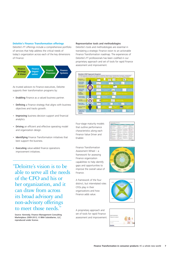#### **Deloitte's Finance Transformation offerings**

Deloitte's FT offerings include a comprehensive portfolio of services that help address the critical needs of today's organization across each of the key dimensions of Finance:



As trusted advisors to Finance executives, Deloitte supports their transformation programs by:

- Enabling Finance as a valued business partner.
- Defining a Finance strategy that aligns with business objectives and tracks growth.
- Improving business decision support and financial analytics.
- Driving an efficient and effective operating model and organization design.
- Identifying Finance Transformation initiatives that best support the business.
- **Executing** value-added finance operations improvement initiatives.

"Deloitte's vision is to be able to serve all the needs of the CFO and his or her organization, and it can draw from across its broad advisory and non-advisory offerings to meet those needs."

Source: Kennedy; Finance Management Consulting Marketplace 2009-2012; © BNA Subsidiaries, LLC; reproduced under license.

#### Representative tools and methodologies

Deloitte's tools and methodologies are essential in translating a strategic Finance vision to an actionable Finance Transformation roadmap. The experiences of Deloitte's FT professionals has been codified in our proprietary approach and set of tools for rapid Finance assessment and improvement.



Four-stage maturity models that outline performance characteristics along each Finance Value Driver and Enabler.

Finance Transformation Assessment Wheel – a framework for assessing Finance organization capabilities to help identify gaps and opportunities to improve the overall value of Finance.

A framework of the four distinct, but interrelated roles CFOs play in their organizations and how Finance adds value.

A proprietary approach and set of tools for rapid Finance assessment and improvement.

| $\sim$ |   |  |
|--------|---|--|
| ----   |   |  |
|        |   |  |
|        |   |  |
|        | ٠ |  |





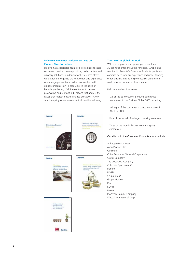#### **Deloitte's eminence and perspectives on Finance Transformation**

Deloitte has a dedicated team of professionals focused on research and eminence providing both practical and visionary solutions. In addition to the research effort, we gather and organize the knowledge and experience of our engagement teams who have worked with global companies on FT programs. In the spirit of knowledge sharing, Deloitte continues to develop provocative and relevant publications that address the issues that matter most to Finance executives. A very small sampling of our eminence includes the following:



**Deloitte** 





### With a strong network operating in more than

**The Deloitte global network**

30 countries throughout the Americas, Europe, and Asia Pacific, Deloitte's Consumer Products specialists combine deep industry experience and understanding of regional markets to help companies around the world succeed wherever they operate.

#### Deloitte member firms serve:

- 23 of the 29 consumer products companies companies in the Fortune Global 500®, including:
- All eight of the consumer products companies in the FTSE 100.
- Four of the world's five largest brewing companies.
- Three of the world's largest wine and spirits companies.

#### Our clients in the Consumer Products space include:

Anheuser-Busch Inbev Avon Products Inc. Carlsberg China Resources National Corporation Clorox Company The Coca-Cola Company Columbia Sportswear Co Danone FEMSA Grupo Bimbo Grupo Modelo Kraft L'Oréal Nestlé Procter & Gamble Company Wacoal International Corp